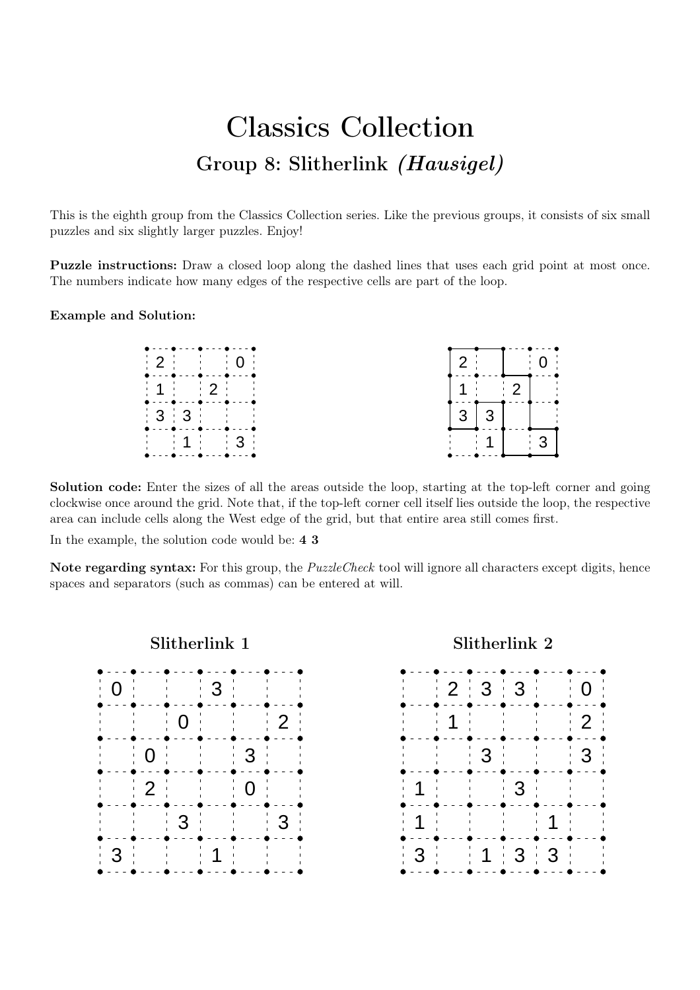## Classics Collection Group 8: Slitherlink (Hausigel)

This is the eighth group from the Classics Collection series. Like the previous groups, it consists of six small puzzles and six slightly larger puzzles. Enjoy!

Puzzle instructions: Draw a closed loop along the dashed lines that uses each grid point at most once. The numbers indicate how many edges of the respective cells are part of the loop.

## Example and Solution:

|                                                                                  | - - - - - | --- <b>-</b> -- <b>-</b> --- | $\overline{2}$ |           | $\cdots$ $\Omega$ |
|----------------------------------------------------------------------------------|-----------|------------------------------|----------------|-----------|-------------------|
|                                                                                  |           |                              |                |           | $-2$ 1            |
| . . <b>. . .</b>                                                                 |           |                              | 3              |           |                   |
| $\begin{array}{ c c c c c }\n\hline\n\text{1} & \text{3} \\ \hline\n\end{array}$ |           |                              |                | $\sim$ 11 |                   |

Solution code: Enter the sizes of all the areas outside the loop, starting at the top-left corner and going clockwise once around the grid. Note that, if the top-left corner cell itself lies outside the loop, the respective area can include cells along the West edge of the grid, but that entire area still comes first.

In the example, the solution code would be: 4 3

Note regarding syntax: For this group, the *PuzzleCheck* tool will ignore all characters except digits, hence spaces and separators (such as commas) can be entered at will.

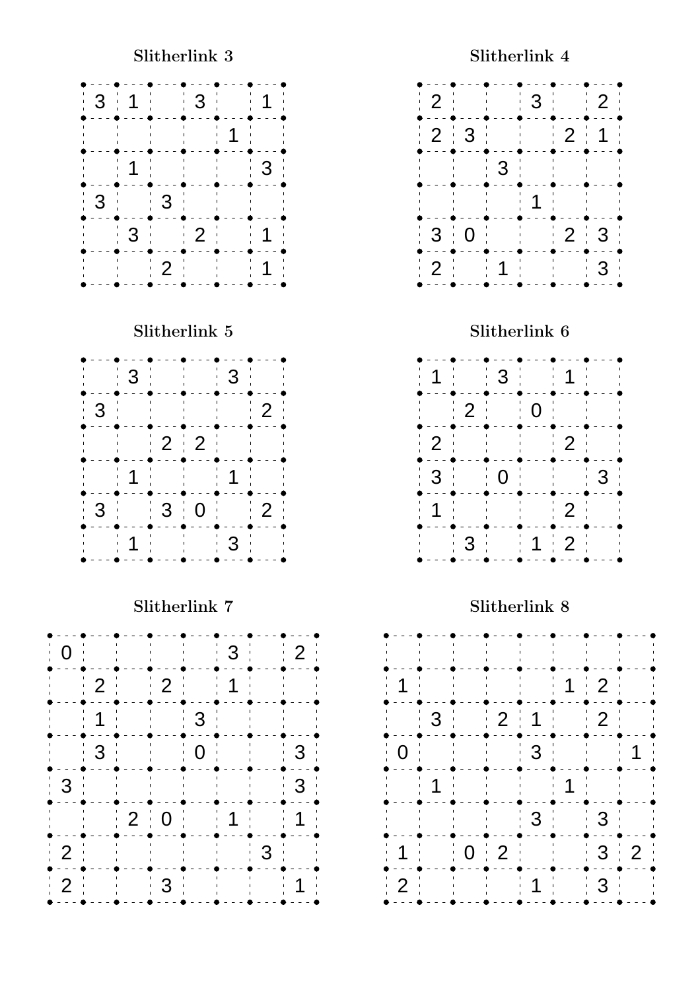

Slitherlink 7

| 0              |                | and the first state<br>and the state | I.                                       |                              | $\mathbf{3}$<br>$\Gamma$ |                                        | 2 <sup>1</sup> |
|----------------|----------------|--------------------------------------|------------------------------------------|------------------------------|--------------------------|----------------------------------------|----------------|
|                | $\overline{2}$ |                                      | $\frac{1}{2}$                            |                              | 1                        |                                        |                |
|                | $\mathbf{I}$   |                                      |                                          | 3 <sup>1</sup>               |                          |                                        |                |
|                | $\mathbf{3}$   |                                      |                                          | 0 <sup>1</sup>               |                          |                                        | $\mathbf{3}$   |
| 3              |                |                                      | $\sim 1$<br>$\mathbf{I}$<br>$\mathbf{I}$ |                              | - 1                      |                                        | 3              |
|                |                |                                      | $2 \nvert 0$                             |                              | 1<br>$\mathbf{1}$        | $\mathbf{1}_{\mathbf{1}_{\mathbf{1}}}$ |                |
| 2              |                | $\mathbf{L}$<br><b>Contract</b>      |                                          | $\mathbf{H}$<br>$\mathbf{I}$ |                          | 3                                      |                |
| $\overline{2}$ |                |                                      | 3                                        |                              |                          |                                        |                |
|                |                |                                      |                                          |                              |                          |                                        |                |



Slitherlink 8